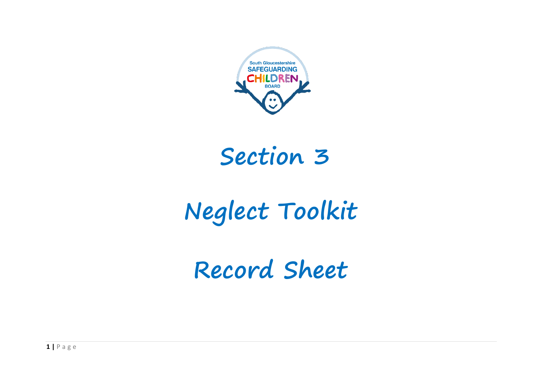

## **Section 3**

## **Neglect Toolkit**

**Record Sheet**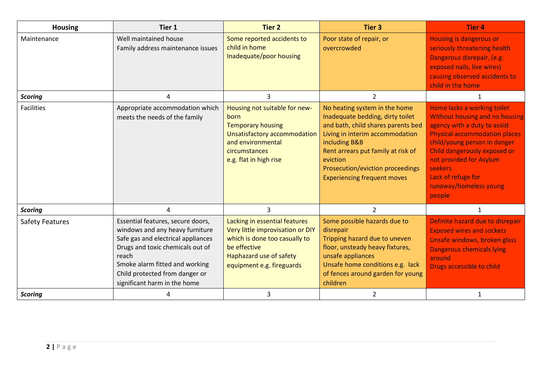| <b>Housing</b>         | Tier 1                                                                                                                                                                                                                                                      | <b>Tier 2</b>                                                                                                                                                              | <b>Tier 3</b>                                                                                                                                                                                                                                                                           | <b>Tier 4</b>                                                                                                                                                                                                                                                                                                |
|------------------------|-------------------------------------------------------------------------------------------------------------------------------------------------------------------------------------------------------------------------------------------------------------|----------------------------------------------------------------------------------------------------------------------------------------------------------------------------|-----------------------------------------------------------------------------------------------------------------------------------------------------------------------------------------------------------------------------------------------------------------------------------------|--------------------------------------------------------------------------------------------------------------------------------------------------------------------------------------------------------------------------------------------------------------------------------------------------------------|
| Maintenance            | Well maintained house<br>Family address maintenance issues                                                                                                                                                                                                  | Some reported accidents to<br>child in home<br>Inadequate/poor housing                                                                                                     | Poor state of repair, or<br>overcrowded                                                                                                                                                                                                                                                 | Housing is dangerous or<br>seriously threatening health<br>Dangerous disrepair, (e.g.<br>exposed nails, live wires)<br>causing observed accidents to<br>child in the home                                                                                                                                    |
| <b>Scoring</b>         | 4                                                                                                                                                                                                                                                           | $\overline{3}$                                                                                                                                                             | $\overline{2}$                                                                                                                                                                                                                                                                          | 1                                                                                                                                                                                                                                                                                                            |
| <b>Facilities</b>      | Appropriate accommodation which<br>meets the needs of the family                                                                                                                                                                                            | Housing not suitable for new-<br>born<br><b>Temporary housing</b><br>Unsatisfactory accommodation<br>and environmental<br>circumstances<br>e.g. flat in high rise          | No heating system in the home<br>Inadequate bedding, dirty toilet<br>and bath, child shares parents bed<br>Living in interim accommodation<br>including B&B<br>Rent arrears put family at risk of<br>eviction<br>Prosecution/eviction proceedings<br><b>Experiencing frequent moves</b> | Home lacks a working toilet<br><b>Without housing and no housing</b><br>agency with a duty to assist<br><b>Physical accommodation places</b><br>child/young person in danger<br>Child dangerously exposed or<br>not provided for Asylum<br>seekers<br>Lack of refuge for<br>runaway/homeless young<br>people |
| <b>Scoring</b>         | 4                                                                                                                                                                                                                                                           | $\overline{3}$                                                                                                                                                             | $\overline{2}$                                                                                                                                                                                                                                                                          | $\mathbf{1}$                                                                                                                                                                                                                                                                                                 |
| <b>Safety Features</b> | Essential features, secure doors,<br>windows and any heavy furniture<br>Safe gas and electrical appliances<br>Drugs and toxic chemicals out of<br>reach<br>Smoke alarm fitted and working<br>Child protected from danger or<br>significant harm in the home | Lacking in essential features<br>Very little improvisation or DIY<br>which is done too casually to<br>be effective<br>Haphazard use of safety<br>equipment e.g. fireguards | Some possible hazards due to<br>disrepair<br>Tripping hazard due to uneven<br>floor, unsteady heavy fixtures,<br>unsafe appliances<br>Unsafe home conditions e.g. lack<br>of fences around garden for young<br>children                                                                 | Definite hazard due to disrepair<br><b>Exposed wires and sockets</b><br>Unsafe windows, broken glass<br><b>Dangerous chemicals lying</b><br>around<br>Drugs accessible to child                                                                                                                              |
| <b>Scoring</b>         | 4                                                                                                                                                                                                                                                           | 3                                                                                                                                                                          | $\overline{2}$                                                                                                                                                                                                                                                                          | 1                                                                                                                                                                                                                                                                                                            |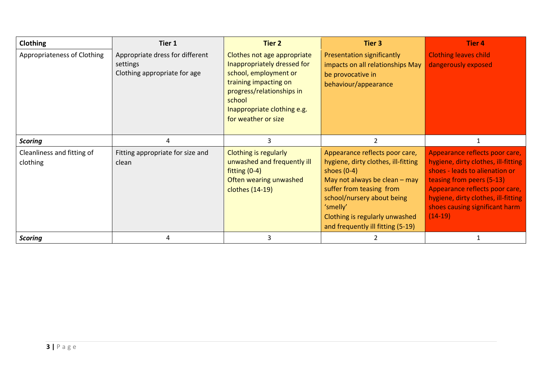| Clothing                               | Tier 1                                                                      | <b>Tier 2</b>                                                                                                                                                                                             | Tier 3                                                                                                                                                                                                                                                                 | Tier 4                                                                                                                                                                                                                                                       |
|----------------------------------------|-----------------------------------------------------------------------------|-----------------------------------------------------------------------------------------------------------------------------------------------------------------------------------------------------------|------------------------------------------------------------------------------------------------------------------------------------------------------------------------------------------------------------------------------------------------------------------------|--------------------------------------------------------------------------------------------------------------------------------------------------------------------------------------------------------------------------------------------------------------|
| Appropriateness of Clothing            | Appropriate dress for different<br>settings<br>Clothing appropriate for age | Clothes not age appropriate<br>Inappropriately dressed for<br>school, employment or<br>training impacting on<br>progress/relationships in<br>school<br>Inappropriate clothing e.g.<br>for weather or size | <b>Presentation significantly</b><br>impacts on all relationships May<br>be provocative in<br>behaviour/appearance                                                                                                                                                     | <b>Clothing leaves child</b><br>dangerously exposed                                                                                                                                                                                                          |
| <b>Scoring</b>                         | 4                                                                           | 3                                                                                                                                                                                                         | $\overline{2}$                                                                                                                                                                                                                                                         |                                                                                                                                                                                                                                                              |
| Cleanliness and fitting of<br>clothing | Fitting appropriate for size and<br>clean                                   | <b>Clothing is regularly</b><br>unwashed and frequently ill<br>fitting $(0-4)$<br>Often wearing unwashed<br>clothes (14-19)                                                                               | Appearance reflects poor care,<br>hygiene, dirty clothes, ill-fitting<br>shoes $(0-4)$<br>May not always be clean $-$ may<br>suffer from teasing from<br>school/nursery about being<br>'smelly'<br>Clothing is regularly unwashed<br>and frequently ill fitting (5-19) | Appearance reflects poor care,<br>hygiene, dirty clothes, ill-fitting<br>shoes - leads to alienation or<br>teasing from peers (5-13)<br>Appearance reflects poor care,<br>hygiene, dirty clothes, ill-fitting<br>shoes causing significant harm<br>$(14-19)$ |
| <b>Scoring</b>                         | 4                                                                           | 3                                                                                                                                                                                                         |                                                                                                                                                                                                                                                                        |                                                                                                                                                                                                                                                              |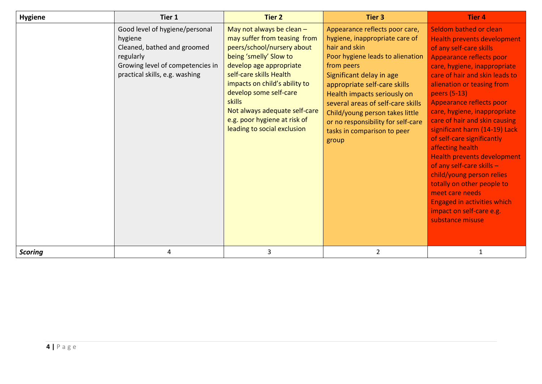| <b>Hygiene</b> | Tier 1                                                                                                                                                      | <b>Tier 2</b>                                                                                                                                                                                                                                                                                                                                         | <b>Tier 3</b>                                                                                                                                                                                                                                                                                                                                                                        | <b>Tier 4</b>                                                                                                                                                                                                                                                                                                                                                                                                                                                                                                                                                                                                                                              |
|----------------|-------------------------------------------------------------------------------------------------------------------------------------------------------------|-------------------------------------------------------------------------------------------------------------------------------------------------------------------------------------------------------------------------------------------------------------------------------------------------------------------------------------------------------|--------------------------------------------------------------------------------------------------------------------------------------------------------------------------------------------------------------------------------------------------------------------------------------------------------------------------------------------------------------------------------------|------------------------------------------------------------------------------------------------------------------------------------------------------------------------------------------------------------------------------------------------------------------------------------------------------------------------------------------------------------------------------------------------------------------------------------------------------------------------------------------------------------------------------------------------------------------------------------------------------------------------------------------------------------|
|                | Good level of hygiene/personal<br>hygiene<br>Cleaned, bathed and groomed<br>regularly<br>Growing level of competencies in<br>practical skills, e.g. washing | May not always be clean $-$<br>may suffer from teasing from<br>peers/school/nursery about<br>being 'smelly' Slow to<br>develop age appropriate<br>self-care skills Health<br>impacts on child's ability to<br>develop some self-care<br><b>skills</b><br>Not always adequate self-care<br>e.g. poor hygiene at risk of<br>leading to social exclusion | Appearance reflects poor care,<br>hygiene, inappropriate care of<br>hair and skin<br>Poor hygiene leads to alienation<br>from peers<br>Significant delay in age<br>appropriate self-care skills<br>Health impacts seriously on<br>several areas of self-care skills<br>Child/young person takes little<br>or no responsibility for self-care<br>tasks in comparison to peer<br>group | Seldom bathed or clean<br><b>Health prevents development</b><br>of any self-care skills<br>Appearance reflects poor<br>care, hygiene, inappropriate<br>care of hair and skin leads to<br>alienation or teasing from<br>peers (5-13)<br>Appearance reflects poor<br>care, hygiene, inappropriate<br>care of hair and skin causing<br>significant harm (14-19) Lack<br>of self-care significantly<br>affecting health<br><b>Health prevents development</b><br>of any self-care skills -<br>child/young person relies<br>totally on other people to<br>meet care needs<br><b>Engaged in activities which</b><br>impact on self-care e.g.<br>substance misuse |
| <b>Scoring</b> | 4                                                                                                                                                           | 3                                                                                                                                                                                                                                                                                                                                                     | $\overline{2}$                                                                                                                                                                                                                                                                                                                                                                       |                                                                                                                                                                                                                                                                                                                                                                                                                                                                                                                                                                                                                                                            |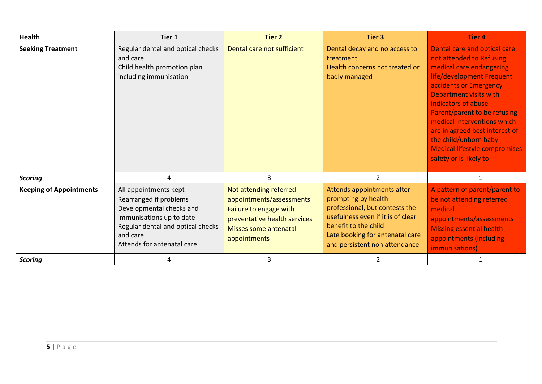| Health                         | Tier 1                                                                                                                                                                                 | Tier 2                                                                                                                                                | <b>Tier 3</b>                                                                                                                                                                                                        | <b>Tier 4</b>                                                                                                                                                                                                                                                                                                                                                                                   |
|--------------------------------|----------------------------------------------------------------------------------------------------------------------------------------------------------------------------------------|-------------------------------------------------------------------------------------------------------------------------------------------------------|----------------------------------------------------------------------------------------------------------------------------------------------------------------------------------------------------------------------|-------------------------------------------------------------------------------------------------------------------------------------------------------------------------------------------------------------------------------------------------------------------------------------------------------------------------------------------------------------------------------------------------|
| <b>Seeking Treatment</b>       | Regular dental and optical checks<br>and care<br>Child health promotion plan<br>including immunisation                                                                                 | Dental care not sufficient                                                                                                                            | Dental decay and no access to<br>treatment<br>Health concerns not treated or<br>badly managed                                                                                                                        | Dental care and optical care<br>not attended to Refusing<br>medical care endangering<br>life/development Frequent<br>accidents or Emergency<br><b>Department visits with</b><br>indicators of abuse<br>Parent/parent to be refusing<br>medical interventions which<br>are in agreed best interest of<br>the child/unborn baby<br><b>Medical lifestyle compromises</b><br>safety or is likely to |
| <b>Scoring</b>                 | 4                                                                                                                                                                                      | 3                                                                                                                                                     | 2                                                                                                                                                                                                                    | $\mathbf{1}$                                                                                                                                                                                                                                                                                                                                                                                    |
| <b>Keeping of Appointments</b> | All appointments kept<br>Rearranged if problems<br>Developmental checks and<br>immunisations up to date<br>Regular dental and optical checks<br>and care<br>Attends for antenatal care | Not attending referred<br>appointments/assessments<br>Failure to engage with<br>preventative health services<br>Misses some antenatal<br>appointments | Attends appointments after<br>prompting by health<br>professional, but contests the<br>usefulness even if it is of clear<br>benefit to the child<br>Late booking for antenatal care<br>and persistent non attendance | A pattern of parent/parent to<br>be not attending referred<br>medical<br>appointments/assessments<br><b>Missing essential health</b><br>appointments (including<br>immunisations)                                                                                                                                                                                                               |
| <b>Scoring</b>                 | 4                                                                                                                                                                                      | 3                                                                                                                                                     |                                                                                                                                                                                                                      |                                                                                                                                                                                                                                                                                                                                                                                                 |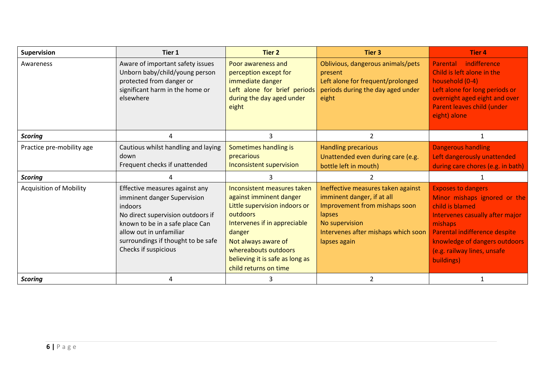| <b>Supervision</b>             | Tier 1                                                                                                                                                                                                                                           | <b>Tier 2</b>                                                                                                                                                                                                                                            | <b>Tier 3</b>                                                                                                                                                                        | <b>Tier 4</b>                                                                                                                                                                                                                             |
|--------------------------------|--------------------------------------------------------------------------------------------------------------------------------------------------------------------------------------------------------------------------------------------------|----------------------------------------------------------------------------------------------------------------------------------------------------------------------------------------------------------------------------------------------------------|--------------------------------------------------------------------------------------------------------------------------------------------------------------------------------------|-------------------------------------------------------------------------------------------------------------------------------------------------------------------------------------------------------------------------------------------|
| Awareness                      | Aware of important safety issues<br>Unborn baby/child/young person<br>protected from danger or<br>significant harm in the home or<br>elsewhere                                                                                                   | Poor awareness and<br>perception except for<br>immediate danger<br>Left alone for brief periods<br>during the day aged under<br>eight                                                                                                                    | Oblivious, dangerous animals/pets<br>present<br>Left alone for frequent/prolonged<br>periods during the day aged under<br>eight                                                      | Parental indifference<br>Child is left alone in the<br>household (0-4)<br>Left alone for long periods or<br>overnight aged eight and over<br>Parent leaves child (under<br>eight) alone                                                   |
| <b>Scoring</b>                 | 4                                                                                                                                                                                                                                                | 3                                                                                                                                                                                                                                                        | $\overline{2}$                                                                                                                                                                       | 1                                                                                                                                                                                                                                         |
| Practice pre-mobility age      | Cautious whilst handling and laying<br>down<br>Frequent checks if unattended                                                                                                                                                                     | Sometimes handling is<br>precarious<br>Inconsistent supervision                                                                                                                                                                                          | <b>Handling precarious</b><br>Unattended even during care (e.g.<br>bottle left in mouth)                                                                                             | <b>Dangerous handling</b><br>Left dangerously unattended<br>during care chores (e.g. in bath)                                                                                                                                             |
| <b>Scoring</b>                 |                                                                                                                                                                                                                                                  | 3                                                                                                                                                                                                                                                        | $\overline{2}$                                                                                                                                                                       | 1                                                                                                                                                                                                                                         |
| <b>Acquisition of Mobility</b> | Effective measures against any<br>imminent danger Supervision<br><i>indoors</i><br>No direct supervision outdoors if<br>known to be in a safe place Can<br>allow out in unfamiliar<br>surroundings if thought to be safe<br>Checks if suspicious | Inconsistent measures taken<br>against imminent danger<br>Little supervision indoors or<br>outdoors<br>Intervenes if in appreciable<br>danger<br>Not always aware of<br>whereabouts outdoors<br>believing it is safe as long as<br>child returns on time | Ineffective measures taken against<br>imminent danger, if at all<br>Improvement from mishaps soon<br>lapses<br>No supervision<br>Intervenes after mishaps which soon<br>lapses again | <b>Exposes to dangers</b><br>Minor mishaps ignored or the<br>child is blamed<br>Intervenes casually after major<br>mishaps<br>Parental indifference despite<br>knowledge of dangers outdoors<br>(e.g. railway lines, unsafe<br>buildings) |
| <b>Scoring</b>                 | 4                                                                                                                                                                                                                                                | 3                                                                                                                                                                                                                                                        | 2                                                                                                                                                                                    |                                                                                                                                                                                                                                           |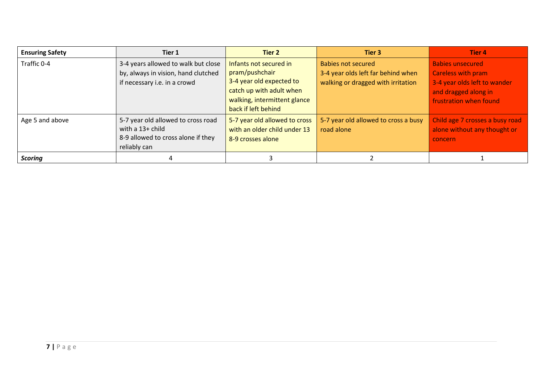| <b>Ensuring Safety</b> | Tier 1                                                                                                       | Tier 2                                                                                                                                                  | Tier 3                                                                                                | <b>Tier 4</b>                                                                                                                          |
|------------------------|--------------------------------------------------------------------------------------------------------------|---------------------------------------------------------------------------------------------------------------------------------------------------------|-------------------------------------------------------------------------------------------------------|----------------------------------------------------------------------------------------------------------------------------------------|
| Traffic 0-4            | 3-4 years allowed to walk but close<br>by, always in vision, hand clutched<br>if necessary i.e. in a crowd   | Infants not secured in<br>pram/pushchair<br>3-4 year old expected to<br>catch up with adult when<br>walking, intermittent glance<br>back if left behind | <b>Babies not secured</b><br>3-4 year olds left far behind when<br>walking or dragged with irritation | <b>Babies unsecured</b><br><b>Careless with pram</b><br>3-4 year olds left to wander<br>and dragged along in<br>frustration when found |
| Age 5 and above        | 5-7 year old allowed to cross road<br>with a 13+ child<br>8-9 allowed to cross alone if they<br>reliably can | 5-7 year old allowed to cross<br>with an older child under 13<br>8-9 crosses alone                                                                      | 5-7 year old allowed to cross a busy<br>road alone                                                    | Child age 7 crosses a busy road<br>alone without any thought or<br>concern                                                             |
| <b>Scoring</b>         | 4                                                                                                            |                                                                                                                                                         |                                                                                                       |                                                                                                                                        |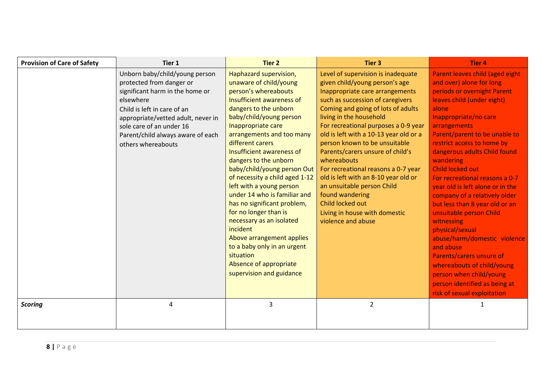| <b>Provision of Care of Safety</b> | Tier 1                                                                                                                                                                                                                                                                 | <b>Tier 2</b>                                                                                                                                                                                                                                                                                                                                                                                                                                                                                                                                                                                                                                      | <b>Tier 3</b>                                                                                                                                                                                                                                                                                                                                                                                                                                                                                                                                                                                 | <b>Tier 4</b>                                                                                                                                                                                                                                                                                                                                                                                                                                                                                                                                                                                                                                                                                                            |
|------------------------------------|------------------------------------------------------------------------------------------------------------------------------------------------------------------------------------------------------------------------------------------------------------------------|----------------------------------------------------------------------------------------------------------------------------------------------------------------------------------------------------------------------------------------------------------------------------------------------------------------------------------------------------------------------------------------------------------------------------------------------------------------------------------------------------------------------------------------------------------------------------------------------------------------------------------------------------|-----------------------------------------------------------------------------------------------------------------------------------------------------------------------------------------------------------------------------------------------------------------------------------------------------------------------------------------------------------------------------------------------------------------------------------------------------------------------------------------------------------------------------------------------------------------------------------------------|--------------------------------------------------------------------------------------------------------------------------------------------------------------------------------------------------------------------------------------------------------------------------------------------------------------------------------------------------------------------------------------------------------------------------------------------------------------------------------------------------------------------------------------------------------------------------------------------------------------------------------------------------------------------------------------------------------------------------|
|                                    | Unborn baby/child/young person<br>protected from danger or<br>significant harm in the home or<br>elsewhere<br>Child is left in care of an<br>appropriate/vetted adult, never in<br>sole care of an under 16<br>Parent/child always aware of each<br>others whereabouts | Haphazard supervision,<br>unaware of child/young<br>person's whereabouts<br>Insufficient awareness of<br>dangers to the unborn<br>baby/child/young person<br>Inappropriate care<br>arrangements and too many<br>different carers<br>Insufficient awareness of<br>dangers to the unborn<br>baby/child/young person Out<br>of necessity a child aged 1-12<br>left with a young person<br>under 14 who is familiar and<br>has no significant problem,<br>for no longer than is<br>necessary as an isolated<br>incident<br>Above arrangement applies<br>to a baby only in an urgent<br>situation<br>Absence of appropriate<br>supervision and guidance | Level of supervision is inadequate<br>given child/young person's age<br>Inappropriate care arrangements<br>such as succession of caregivers<br>Coming and going of lots of adults<br>living in the household<br>For recreational purposes a 0-9 year<br>old is left with a 10-13 year old or a<br>person known to be unsuitable<br>Parents/carers unsure of child's<br>whereabouts<br>For recreational reasons a 0-7 year<br>old is left with an 8-10 year old or<br>an unsuitable person Child<br>found wandering<br>Child locked out<br>Living in house with domestic<br>violence and abuse | Parent leaves child (aged eight<br>and over) alone for long<br>periods or overnight Parent<br>leaves child (under eight)<br>alone<br>Inappropriate/no care<br>arrangements<br>Parent/parent to be unable to<br>restrict access to home by<br>dangerous adults Child found<br>wandering<br><b>Child locked out</b><br>For recreational reasons a 0-7<br>year old is left alone or in the<br>company of a relatively older<br>but less than 8 year old or an<br>unsuitable person Child<br>witnessing<br>physical/sexual<br>abuse/harm/domestic violence<br>and abuse<br>Parents/carers unsure of<br>whereabouts of child/young<br>person when child/young<br>person identified as being at<br>risk of sexual exploitation |
| <b>Scoring</b>                     | 4                                                                                                                                                                                                                                                                      | 3                                                                                                                                                                                                                                                                                                                                                                                                                                                                                                                                                                                                                                                  | $\overline{2}$                                                                                                                                                                                                                                                                                                                                                                                                                                                                                                                                                                                | 1                                                                                                                                                                                                                                                                                                                                                                                                                                                                                                                                                                                                                                                                                                                        |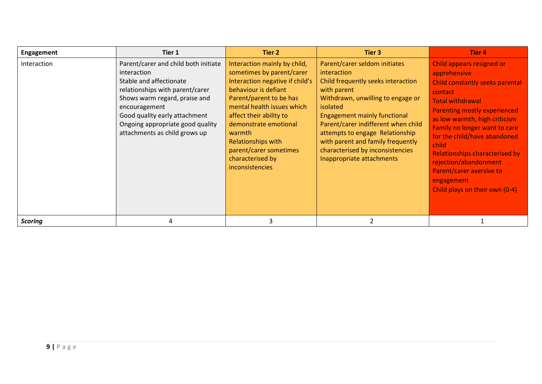| Engagement     | Tier 1                                                                                                                                                                                                                                                                    | Tier 2                                                                                                                                                                                                                                                                                                                                    | Tier 3                                                                                                                                                                                                                                                                                                                                                                    | <b>Tier 4</b>                                                                                                                                                                                                                                                                                                                                                                                                      |
|----------------|---------------------------------------------------------------------------------------------------------------------------------------------------------------------------------------------------------------------------------------------------------------------------|-------------------------------------------------------------------------------------------------------------------------------------------------------------------------------------------------------------------------------------------------------------------------------------------------------------------------------------------|---------------------------------------------------------------------------------------------------------------------------------------------------------------------------------------------------------------------------------------------------------------------------------------------------------------------------------------------------------------------------|--------------------------------------------------------------------------------------------------------------------------------------------------------------------------------------------------------------------------------------------------------------------------------------------------------------------------------------------------------------------------------------------------------------------|
| Interaction    | Parent/carer and child both initiate<br>interaction<br>Stable and affectionate<br>relationships with parent/carer<br>Shows warm regard, praise and<br>encouragement<br>Good quality early attachment<br>Ongoing appropriate good quality<br>attachments as child grows up | Interaction mainly by child,<br>sometimes by parent/carer<br>Interaction negative if child's<br>behaviour is defiant<br>Parent/parent to be has<br>mental health issues which<br>affect their ability to<br>demonstrate emotional<br>warmth<br><b>Relationships with</b><br>parent/carer sometimes<br>characterised by<br>inconsistencies | Parent/carer seldom initiates<br>interaction<br>Child frequently seeks interaction<br>with parent<br>Withdrawn, unwilling to engage or<br>isolated<br><b>Engagement mainly functional</b><br>Parent/carer indifferent when child<br>attempts to engage Relationship<br>with parent and family frequently<br>characterised by inconsistencies<br>Inappropriate attachments | Child appears resigned or<br>apprehensive<br>Child constantly seeks parental<br>contact<br><b>Total withdrawal</b><br><b>Parenting mostly experienced</b><br>as low warmth, high criticism<br>Family no longer want to care<br>for the child/have abandoned<br>child<br><b>Relationships characterised by</b><br>rejection/abandonment<br>Parent/carer aversive to<br>engagement<br>Child plays on their own (0-4) |
| <b>Scoring</b> | 4                                                                                                                                                                                                                                                                         | 3                                                                                                                                                                                                                                                                                                                                         |                                                                                                                                                                                                                                                                                                                                                                           |                                                                                                                                                                                                                                                                                                                                                                                                                    |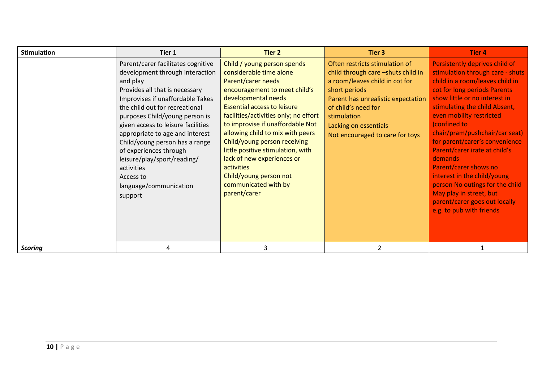| <b>Stimulation</b> | Tier 1                                                                                                                                                                                                                                                                                                                                                                                                                                                          | Tier 2                                                                                                                                                                                                                                                                                                                                                                                                                                                                         | Tier 3                                                                                                                                                                                                                                                          | Tier 4                                                                                                                                                                                                                                                                                                                                                                                                                                                                                                                                                        |
|--------------------|-----------------------------------------------------------------------------------------------------------------------------------------------------------------------------------------------------------------------------------------------------------------------------------------------------------------------------------------------------------------------------------------------------------------------------------------------------------------|--------------------------------------------------------------------------------------------------------------------------------------------------------------------------------------------------------------------------------------------------------------------------------------------------------------------------------------------------------------------------------------------------------------------------------------------------------------------------------|-----------------------------------------------------------------------------------------------------------------------------------------------------------------------------------------------------------------------------------------------------------------|---------------------------------------------------------------------------------------------------------------------------------------------------------------------------------------------------------------------------------------------------------------------------------------------------------------------------------------------------------------------------------------------------------------------------------------------------------------------------------------------------------------------------------------------------------------|
|                    | Parent/carer facilitates cognitive<br>development through interaction<br>and play<br>Provides all that is necessary<br>Improvises if unaffordable Takes<br>the child out for recreational<br>purposes Child/young person is<br>given access to leisure facilities<br>appropriate to age and interest<br>Child/young person has a range<br>of experiences through<br>leisure/play/sport/reading/<br>activities<br>Access to<br>language/communication<br>support | Child / young person spends<br>considerable time alone<br>Parent/carer needs<br>encouragement to meet child's<br>developmental needs<br><b>Essential access to leisure</b><br>facilities/activities only; no effort<br>to improvise if unaffordable Not<br>allowing child to mix with peers<br>Child/young person receiving<br>little positive stimulation, with<br>lack of new experiences or<br>activities<br>Child/young person not<br>communicated with by<br>parent/carer | Often restricts stimulation of<br>child through care -shuts child in<br>a room/leaves child in cot for<br>short periods<br>Parent has unrealistic expectation<br>of child's need for<br>stimulation<br>Lacking on essentials<br>Not encouraged to care for toys | Persistently deprives child of<br>stimulation through care - shuts<br>child in a room/leaves child in<br>cot for long periods Parents<br>show little or no interest in<br>stimulating the child Absent,<br>even mobility restricted<br>(confined to<br>chair/pram/pushchair/car seat)<br>for parent/carer's convenience<br>Parent/carer irate at child's<br><b>demands</b><br>Parent/carer shows no<br>interest in the child/young<br>person No outings for the child<br>May play in street, but<br>parent/carer goes out locally<br>e.g. to pub with friends |
| <b>Scoring</b>     |                                                                                                                                                                                                                                                                                                                                                                                                                                                                 | 3                                                                                                                                                                                                                                                                                                                                                                                                                                                                              |                                                                                                                                                                                                                                                                 |                                                                                                                                                                                                                                                                                                                                                                                                                                                                                                                                                               |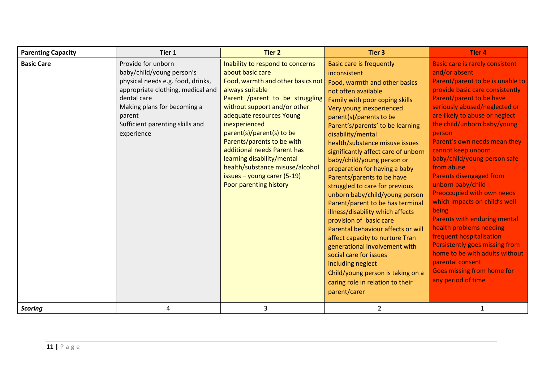| <b>Parenting Capacity</b> | Tier 1                                                                                                                                                                                                                             | <b>Tier 2</b>                                                                                                                                                                                                                                                                                                                                                                                                                                      | Tier <sub>3</sub>                                                                                                                                                                                                                                                                                                                                                                                                                                                                                                                                                                                                                                                                                                                                                                                                                                        | <b>Tier 4</b>                                                                                                                                                                                                                                                                                                                                                                                                                                                                                                                                                                                                                                                                                                                         |
|---------------------------|------------------------------------------------------------------------------------------------------------------------------------------------------------------------------------------------------------------------------------|----------------------------------------------------------------------------------------------------------------------------------------------------------------------------------------------------------------------------------------------------------------------------------------------------------------------------------------------------------------------------------------------------------------------------------------------------|----------------------------------------------------------------------------------------------------------------------------------------------------------------------------------------------------------------------------------------------------------------------------------------------------------------------------------------------------------------------------------------------------------------------------------------------------------------------------------------------------------------------------------------------------------------------------------------------------------------------------------------------------------------------------------------------------------------------------------------------------------------------------------------------------------------------------------------------------------|---------------------------------------------------------------------------------------------------------------------------------------------------------------------------------------------------------------------------------------------------------------------------------------------------------------------------------------------------------------------------------------------------------------------------------------------------------------------------------------------------------------------------------------------------------------------------------------------------------------------------------------------------------------------------------------------------------------------------------------|
| <b>Basic Care</b>         | Provide for unborn<br>baby/child/young person's<br>physical needs e.g. food, drinks,<br>appropriate clothing, medical and<br>dental care<br>Making plans for becoming a<br>parent<br>Sufficient parenting skills and<br>experience | Inability to respond to concerns<br>about basic care<br>Food, warmth and other basics not<br>always suitable<br>Parent /parent to be struggling<br>without support and/or other<br>adequate resources Young<br>inexperienced<br>parent(s)/parent(s) to be<br>Parents/parents to be with<br>additional needs Parent has<br>learning disability/mental<br>health/substance misuse/alcohol<br>issues $-$ young carer (5-19)<br>Poor parenting history | <b>Basic care is frequently</b><br>inconsistent<br>Food, warmth and other basics<br>not often available<br>Family with poor coping skills<br>Very young inexperienced<br>parent(s)/parents to be<br>Parent's/parents' to be learning<br>disability/mental<br>health/substance misuse issues<br>significantly affect care of unborn<br>baby/child/young person or<br>preparation for having a baby<br>Parents/parents to be have<br>struggled to care for previous<br>unborn baby/child/young person<br>Parent/parent to be has terminal<br>illness/disability which affects<br>provision of basic care<br>Parental behaviour affects or will<br>affect capacity to nurture Tran<br>generational involvement with<br>social care for issues<br>including neglect<br>Child/young person is taking on a<br>caring role in relation to their<br>parent/carer | <b>Basic care is rarely consistent</b><br>and/or absent<br>Parent/parent to be is unable to<br>provide basic care consistently<br>Parent/parent to be have<br>seriously abused/neglected or<br>are likely to abuse or neglect<br>the child/unborn baby/young<br>person<br>Parent's own needs mean they<br>cannot keep unborn<br>baby/child/young person safe<br>from abuse<br>Parents disengaged from<br>unborn baby/child<br>Preoccupied with own needs<br>which impacts on child's well<br>being<br>Parents with enduring mental<br>health problems needing<br>frequent hospitalisation<br>Persistently goes missing from<br>home to be with adults without<br>parental consent<br>Goes missing from home for<br>any period of time |
| <b>Scoring</b>            | 4                                                                                                                                                                                                                                  | 3                                                                                                                                                                                                                                                                                                                                                                                                                                                  | $\overline{2}$                                                                                                                                                                                                                                                                                                                                                                                                                                                                                                                                                                                                                                                                                                                                                                                                                                           | $\mathbf{1}$                                                                                                                                                                                                                                                                                                                                                                                                                                                                                                                                                                                                                                                                                                                          |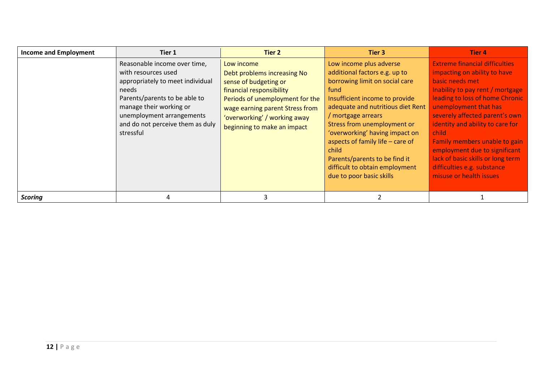| <b>Income and Employment</b> | Tier 1                                                                                                                                                                                                                                     | Tier 2                                                                                                                                                                                                                              | Tier 3                                                                                                                                                                                                                                                                                                                                                                                                       | Tier 4                                                                                                                                                                                                                                                                                                                                                                                                                                   |
|------------------------------|--------------------------------------------------------------------------------------------------------------------------------------------------------------------------------------------------------------------------------------------|-------------------------------------------------------------------------------------------------------------------------------------------------------------------------------------------------------------------------------------|--------------------------------------------------------------------------------------------------------------------------------------------------------------------------------------------------------------------------------------------------------------------------------------------------------------------------------------------------------------------------------------------------------------|------------------------------------------------------------------------------------------------------------------------------------------------------------------------------------------------------------------------------------------------------------------------------------------------------------------------------------------------------------------------------------------------------------------------------------------|
|                              | Reasonable income over time,<br>with resources used<br>appropriately to meet individual<br>needs<br>Parents/parents to be able to<br>manage their working or<br>unemployment arrangements<br>and do not perceive them as duly<br>stressful | Low income<br>Debt problems increasing No<br>sense of budgeting or<br>financial responsibility<br>Periods of unemployment for the<br>wage earning parent Stress from<br>'overworking' / working away<br>beginning to make an impact | Low income plus adverse<br>additional factors e.g. up to<br>borrowing limit on social care<br>fund<br>Insufficient income to provide<br>adequate and nutritious diet Rent<br>/ mortgage arrears<br>Stress from unemployment or<br>'overworking' having impact on<br>aspects of family life - care of<br>child<br>Parents/parents to be find it<br>difficult to obtain employment<br>due to poor basic skills | <b>Extreme financial difficulties</b><br>impacting on ability to have<br>basic needs met<br>Inability to pay rent / mortgage<br>leading to loss of home Chronic<br>unemployment that has<br>severely affected parent's own<br>identity and ability to care for<br>child<br>Family members unable to gain<br>employment due to significant<br>lack of basic skills or long term<br>difficulties e.g. substance<br>misuse or health issues |
| <b>Scoring</b>               |                                                                                                                                                                                                                                            | 3                                                                                                                                                                                                                                   |                                                                                                                                                                                                                                                                                                                                                                                                              |                                                                                                                                                                                                                                                                                                                                                                                                                                          |